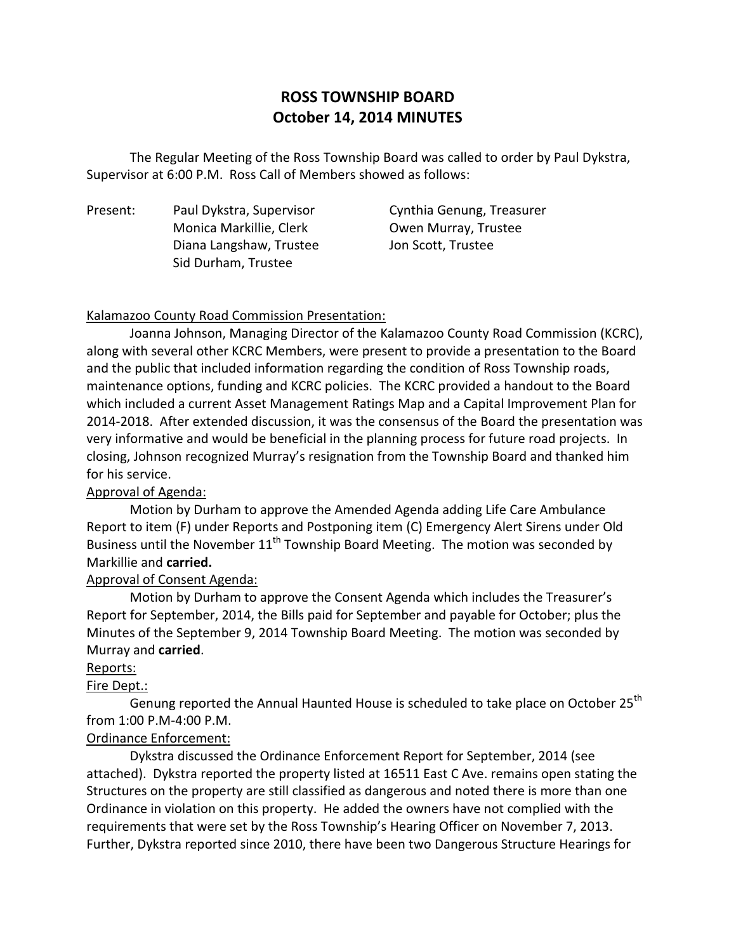# **ROSS TOWNSHIP BOARD October 14, 2014 MINUTES**

 The Regular Meeting of the Ross Township Board was called to order by Paul Dykstra, Supervisor at 6:00 P.M. Ross Call of Members showed as follows:

Present: Monica Markillie, Clerk **Owen Murray, Trustee** Diana Langshaw, Trustee Jon Scott, Trustee Sid Durham, Trustee

Paul Dykstra, Supervisor Cynthia Genung, Treasurer

#### Kalamazoo County Road Commission Presentation:

 Joanna Johnson, Managing Director of the Kalamazoo County Road Commission (KCRC), along with several other KCRC Members, were present to provide a presentation to the Board and the public that included information regarding the condition of Ross Township roads, maintenance options, funding and KCRC policies. The KCRC provided a handout to the Board which included a current Asset Management Ratings Map and a Capital Improvement Plan for 2014-2018. After extended discussion, it was the consensus of the Board the presentation was very informative and would be beneficial in the planning process for future road projects. In closing, Johnson recognized Murray's resignation from the Township Board and thanked him for his service.

### Approval of Agenda:

 Motion by Durham to approve the Amended Agenda adding Life Care Ambulance Report to item (F) under Reports and Postponing item (C) Emergency Alert Sirens under Old Business until the November  $11<sup>th</sup>$  Township Board Meeting. The motion was seconded by Markillie and **carried.** 

### Approval of Consent Agenda:

 Motion by Durham to approve the Consent Agenda which includes the Treasurer's Report for September, 2014, the Bills paid for September and payable for October; plus the Minutes of the September 9, 2014 Township Board Meeting. The motion was seconded by Murray and **carried**.

#### Reports:

### Fire Dept.:

Genung reported the Annual Haunted House is scheduled to take place on October 25<sup>th</sup> from 1:00 P.M-4:00 P.M.

#### Ordinance Enforcement:

 Dykstra discussed the Ordinance Enforcement Report for September, 2014 (see attached). Dykstra reported the property listed at 16511 East C Ave. remains open stating the Structures on the property are still classified as dangerous and noted there is more than one Ordinance in violation on this property. He added the owners have not complied with the requirements that were set by the Ross Township's Hearing Officer on November 7, 2013. Further, Dykstra reported since 2010, there have been two Dangerous Structure Hearings for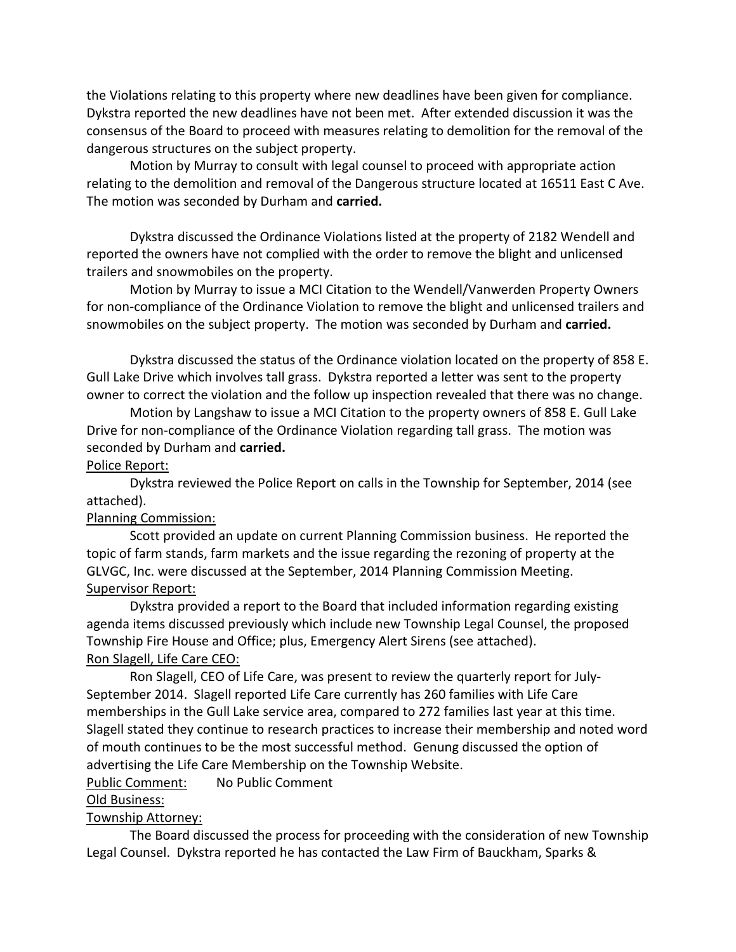the Violations relating to this property where new deadlines have been given for compliance. Dykstra reported the new deadlines have not been met. After extended discussion it was the consensus of the Board to proceed with measures relating to demolition for the removal of the dangerous structures on the subject property.

 Motion by Murray to consult with legal counsel to proceed with appropriate action relating to the demolition and removal of the Dangerous structure located at 16511 East C Ave. The motion was seconded by Durham and **carried.** 

 Dykstra discussed the Ordinance Violations listed at the property of 2182 Wendell and reported the owners have not complied with the order to remove the blight and unlicensed trailers and snowmobiles on the property.

 Motion by Murray to issue a MCI Citation to the Wendell/Vanwerden Property Owners for non-compliance of the Ordinance Violation to remove the blight and unlicensed trailers and snowmobiles on the subject property. The motion was seconded by Durham and **carried.** 

 Dykstra discussed the status of the Ordinance violation located on the property of 858 E. Gull Lake Drive which involves tall grass. Dykstra reported a letter was sent to the property owner to correct the violation and the follow up inspection revealed that there was no change.

 Motion by Langshaw to issue a MCI Citation to the property owners of 858 E. Gull Lake Drive for non-compliance of the Ordinance Violation regarding tall grass. The motion was seconded by Durham and **carried.** 

#### Police Report:

 Dykstra reviewed the Police Report on calls in the Township for September, 2014 (see attached).

#### Planning Commission:

 topic of farm stands, farm markets and the issue regarding the rezoning of property at the GLVGC, Inc. were discussed at the September, 2014 Planning Commission Meeting. Supervisor Report: Scott provided an update on current Planning Commission business. He reported the

 Dykstra provided a report to the Board that included information regarding existing agenda items discussed previously which include new Township Legal Counsel, the proposed Township Fire House and Office; plus, Emergency Alert Sirens (see attached). Ron Slagell, Life Care CEO:

 September 2014. Slagell reported Life Care currently has 260 families with Life Care memberships in the Gull Lake service area, compared to 272 families last year at this time. Slagell stated they continue to research practices to increase their membership and noted word of mouth continues to be the most successful method. Genung discussed the option of advertising the Life Care Membership on the Township Website. Ron Slagell, CEO of Life Care, was present to review the quarterly report for July-

**Public Comment:** No Public Comment

### Old Business:

#### Township Attorney:

 Legal Counsel. Dykstra reported he has contacted the Law Firm of Bauckham, Sparks & The Board discussed the process for proceeding with the consideration of new Township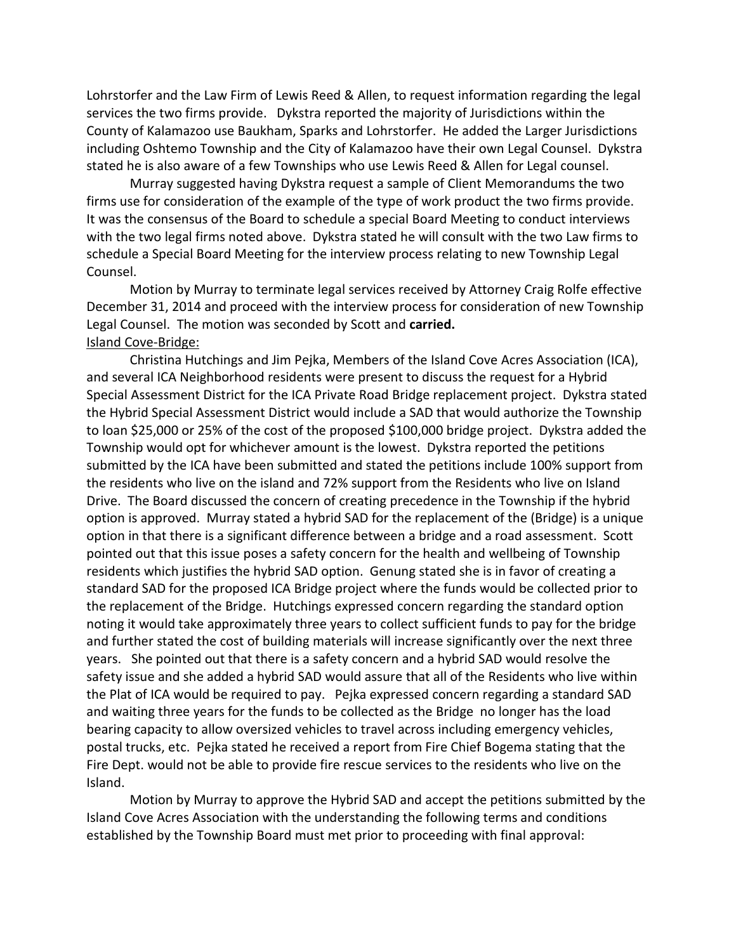Lohrstorfer and the Law Firm of Lewis Reed & Allen, to request information regarding the legal services the two firms provide. Dykstra reported the majority of Jurisdictions within the County of Kalamazoo use Baukham, Sparks and Lohrstorfer. He added the Larger Jurisdictions including Oshtemo Township and the City of Kalamazoo have their own Legal Counsel. Dykstra stated he is also aware of a few Townships who use Lewis Reed & Allen for Legal counsel.

 Murray suggested having Dykstra request a sample of Client Memorandums the two firms use for consideration of the example of the type of work product the two firms provide. It was the consensus of the Board to schedule a special Board Meeting to conduct interviews with the two legal firms noted above. Dykstra stated he will consult with the two Law firms to schedule a Special Board Meeting for the interview process relating to new Township Legal Counsel.

 Motion by Murray to terminate legal services received by Attorney Craig Rolfe effective December 31, 2014 and proceed with the interview process for consideration of new Township Legal Counsel. The motion was seconded by Scott and **carried.**  Island Cove-Bridge:

 Christina Hutchings and Jim Pejka, Members of the Island Cove Acres Association (ICA), and several ICA Neighborhood residents were present to discuss the request for a Hybrid Special Assessment District for the ICA Private Road Bridge replacement project. Dykstra stated the Hybrid Special Assessment District would include a SAD that would authorize the Township to loan \$25,000 or 25% of the cost of the proposed \$100,000 bridge project. Dykstra added the Township would opt for whichever amount is the lowest. Dykstra reported the petitions submitted by the ICA have been submitted and stated the petitions include 100% support from the residents who live on the island and 72% support from the Residents who live on Island Drive. The Board discussed the concern of creating precedence in the Township if the hybrid option is approved. Murray stated a hybrid SAD for the replacement of the (Bridge) is a unique option in that there is a significant difference between a bridge and a road assessment. Scott pointed out that this issue poses a safety concern for the health and wellbeing of Township residents which justifies the hybrid SAD option. Genung stated she is in favor of creating a standard SAD for the proposed ICA Bridge project where the funds would be collected prior to the replacement of the Bridge. Hutchings expressed concern regarding the standard option noting it would take approximately three years to collect sufficient funds to pay for the bridge and further stated the cost of building materials will increase significantly over the next three years. She pointed out that there is a safety concern and a hybrid SAD would resolve the safety issue and she added a hybrid SAD would assure that all of the Residents who live within the Plat of ICA would be required to pay. Pejka expressed concern regarding a standard SAD and waiting three years for the funds to be collected as the Bridge no longer has the load bearing capacity to allow oversized vehicles to travel across including emergency vehicles, postal trucks, etc. Pejka stated he received a report from Fire Chief Bogema stating that the Fire Dept. would not be able to provide fire rescue services to the residents who live on the Island.

 Island. Motion by Murray to approve the Hybrid SAD and accept the petitions submitted by the Island Cove Acres Association with the understanding the following terms and conditions established by the Township Board must met prior to proceeding with final approval: